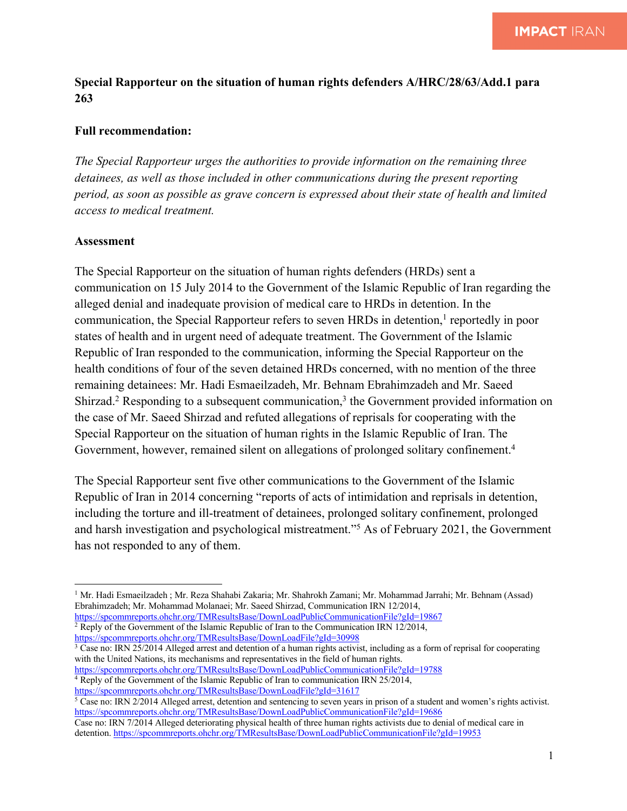## **Special Rapporteur on the situation of human rights defenders A/HRC/28/63/Add.1 para 263**

## **Full recommendation:**

*The Special Rapporteur urges the authorities to provide information on the remaining three detainees, as well as those included in other communications during the present reporting period, as soon as possible as grave concern is expressed about their state of health and limited access to medical treatment.* 

## **Assessment**

The Special Rapporteur on the situation of human rights defenders (HRDs) sent a communication on 15 July 2014 to the Government of the Islamic Republic of Iran regarding the alleged denial and inadequate provision of medical care to HRDs in detention. In the communication, the Special Rapporteur refers to seven HRDs in detention,<sup>1</sup> reportedly in poor states of health and in urgent need of adequate treatment. The Government of the Islamic Republic of Iran responded to the communication, informing the Special Rapporteur on the health conditions of four of the seven detained HRDs concerned, with no mention of the three remaining detainees: Mr. Hadi Esmaeilzadeh, Mr. Behnam Ebrahimzadeh and Mr. Saeed Shirzad.<sup>2</sup> Responding to a subsequent communication,<sup>3</sup> the Government provided information on the case of Mr. Saeed Shirzad and refuted allegations of reprisals for cooperating with the Special Rapporteur on the situation of human rights in the Islamic Republic of Iran. The Government, however, remained silent on allegations of prolonged solitary confinement.<sup>4</sup>

The Special Rapporteur sent five other communications to the Government of the Islamic Republic of Iran in 2014 concerning "reports of acts of intimidation and reprisals in detention, including the torture and ill-treatment of detainees, prolonged solitary confinement, prolonged and harsh investigation and psychological mistreatment."5 As of February 2021, the Government has not responded to any of them.

https://spcommreports.ohchr.org/TMResultsBase/DownLoadFile?gId=30998

 $3$  Case no: IRN 25/2014 Alleged arrest and detention of a human rights activist, including as a form of reprisal for cooperating with the United Nations, its mechanisms and representatives in the field of human rights.

<sup>5</sup> Case no: IRN 2/2014 Alleged arrest, detention and sentencing to seven years in prison of a student and women's rights activist. https://spcommreports.ohchr.org/TMResultsBase/DownLoadPublicCommunicationFile?gId=19686

<sup>1</sup> Mr. Hadi Esmaeilzadeh ; Mr. Reza Shahabi Zakaria; Mr. Shahrokh Zamani; Mr. Mohammad Jarrahi; Mr. Behnam (Assad) Ebrahimzadeh; Mr. Mohammad Molanaei; Mr. Saeed Shirzad, Communication IRN 12/2014,

https://spcommreports.ohchr.org/TMResultsBase/DownLoadPublicCommunicationFile?gId=19867 <sup>2</sup> Reply of the Government of the Islamic Republic of Iran to the Communication IRN 12/2014,

https://spcommreports.ohchr.org/TMResultsBase/DownLoadPublicCommunicationFile?gId=19788

<sup>&</sup>lt;sup>4</sup> Reply of the Government of the Islamic Republic of Iran to communication IRN 25/2014,

https://spcommreports.ohchr.org/TMResultsBase/DownLoadFile?gId=31617

Case no: IRN 7/2014 Alleged deteriorating physical health of three human rights activists due to denial of medical care in detention. https://spcommreports.ohchr.org/TMResultsBase/DownLoadPublicCommunicationFile?gId=19953